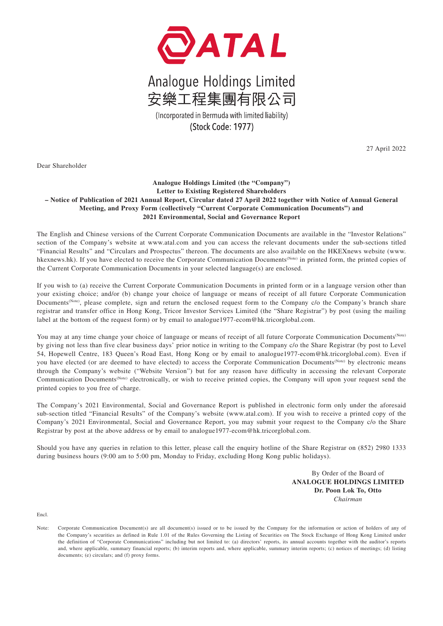

## Analogue Holdings Limited 安樂工程集團有限公司

(Incorporated in Bermuda with limited liability) (Stock Code: 1977)

27 April 2022

Dear Shareholder

## **Analogue Holdings Limited (the "Company") Letter to Existing Registered Shareholders – Notice of Publication of 2021 Annual Report, Circular dated 27 April 2022 together with Notice of Annual General Meeting, and Proxy Form (collectively "Current Corporate Communication Documents") and 2021 Environmental, Social and Governance Report**

The English and Chinese versions of the Current Corporate Communication Documents are available in the "Investor Relations" section of the Company's website at www.atal.com and you can access the relevant documents under the sub-sections titled "Financial Results" and "Circulars and Prospectus" thereon. The documents are also available on the HKEXnews website (www. hkexnews.hk). If you have elected to receive the Corporate Communication Documents(Note) in printed form, the printed copies of the Current Corporate Communication Documents in your selected language(s) are enclosed.

If you wish to (a) receive the Current Corporate Communication Documents in printed form or in a language version other than your existing choice; and/or (b) change your choice of language or means of receipt of all future Corporate Communication Documents<sup>(Note)</sup>, please complete, sign and return the enclosed request form to the Company c/o the Company's branch share registrar and transfer office in Hong Kong, Tricor Investor Services Limited (the "Share Registrar") by post (using the mailing label at the bottom of the request form) or by email to analogue1977-ecom@hk.tricorglobal.com.

You may at any time change your choice of language or means of receipt of all future Corporate Communication Documents(Note) by giving not less than five clear business days' prior notice in writing to the Company c/o the Share Registrar (by post to Level 54, Hopewell Centre, 183 Queen's Road East, Hong Kong or by email to analogue1977-ecom@hk.tricorglobal.com). Even if you have elected (or are deemed to have elected) to access the Corporate Communication Documents<sup>(Note)</sup> by electronic means through the Company's website ("Website Version") but for any reason have difficulty in accessing the relevant Corporate Communication Documents(Note) electronically, or wish to receive printed copies, the Company will upon your request send the printed copies to you free of charge.

The Company's 2021 Environmental, Social and Governance Report is published in electronic form only under the aforesaid sub-section titled "Financial Results" of the Company's website (www.atal.com). If you wish to receive a printed copy of the Company's 2021 Environmental, Social and Governance Report, you may submit your request to the Company c/o the Share Registrar by post at the above address or by email to analogue1977-ecom@hk.tricorglobal.com.

Should you have any queries in relation to this letter, please call the enquiry hotline of the Share Registrar on (852) 2980 1333 during business hours (9:00 am to 5:00 pm, Monday to Friday, excluding Hong Kong public holidays).

> By Order of the Board of **ANALOGUE HOLDINGS LIMITED Dr. Poon Lok To, Otto** *Chairman*

Encl.

Note: Corporate Communication Document(s) are all document(s) issued or to be issued by the Company for the information or action of holders of any of the Company's securities as defined in Rule 1.01 of the Rules Governing the Listing of Securities on The Stock Exchange of Hong Kong Limited under the definition of "Corporate Communications" including but not limited to: (a) directors' reports, its annual accounts together with the auditor's reports and, where applicable, summary financial reports; (b) interim reports and, where applicable, summary interim reports; (c) notices of meetings; (d) listing documents; (e) circulars; and (f) proxy forms.